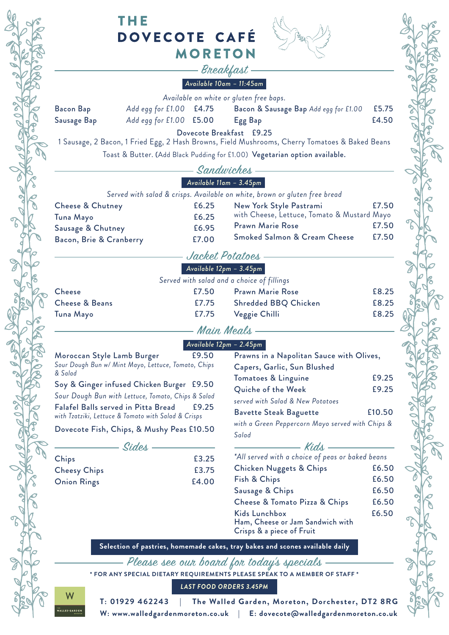

# THE **DOVECOTE CAFÉ MORETON**



#### Breakfast *Available 10am – 11:45am*

| Available on white or gluten free baps. |                             |  |                                       |       |
|-----------------------------------------|-----------------------------|--|---------------------------------------|-------|
| <b>Bacon Bap</b>                        | Add egg for $£1.00$ $£4.75$ |  | Bacon & Sausage Bap Add egg for £1.00 | £5.75 |
| Sausage Bap                             | Add egg for $£1.00$ $£5.00$ |  | Egg Bap                               | £4.50 |
|                                         |                             |  | Dovecote Breakfast £9.25              |       |

1 Sausage, 2 Bacon, 1 Fried Egg, 2 Hash Browns, Field Mushrooms, Cherry Tomatoes & Baked Beans Toast & Butter. (Add Black Pudding for £1.00) Vegetarian option available.

#### Sandwiches *Available 11am – 3.45pm*

|                                                                            | A     |                                             |       |  |
|----------------------------------------------------------------------------|-------|---------------------------------------------|-------|--|
| Served with salad & crisps. Available on white, brown or gluten free bread |       |                                             |       |  |
| <b>Cheese &amp; Chutney</b>                                                | £6.25 | New York Style Pastrami                     | £7.50 |  |
| Tuna Mayo                                                                  | £6.25 | with Cheese, Lettuce, Tomato & Mustard Mayo |       |  |
| Sausage & Chutney                                                          | £6.95 | <b>Prawn Marie Rose</b>                     | £7.50 |  |
| Bacon, Brie & Cranberry                                                    | £7.00 | <b>Smoked Salmon &amp; Cream Cheese</b>     | £7.50 |  |
|                                                                            |       |                                             |       |  |

## Jacket Potatoes

|                           |       | Available $12p$ m - $3.45p$ m              |       |
|---------------------------|-------|--------------------------------------------|-------|
|                           |       | Served with salad and a choice of fillings |       |
| <b>Cheese</b>             | £7.50 | <b>Prawn Marie Rose</b>                    | £8.25 |
| <b>Cheese &amp; Beans</b> | £7.75 | <b>Shredded BBQ Chicken</b>                | £8.25 |
| Tuna Mayo                 | £7.75 | Veggie Chilli                              | £8.25 |
|                           |       |                                            |       |

#### Main Meals

#### *Available 12pm – 2.45pm*

| Moroccan Style Lamb Burger                                                                                                                                | £9.50          | Prawns in a Napolitan Sauce with Olives,                     |                |
|-----------------------------------------------------------------------------------------------------------------------------------------------------------|----------------|--------------------------------------------------------------|----------------|
| Sour Dough Bun w/ Mint Mayo, Lettuce, Tomato, Chips<br>& Salad                                                                                            |                | Capers, Garlic, Sun Blushed                                  |                |
| Soy & Ginger infused Chicken Burger £9.50                                                                                                                 |                | Tomatoes & Linguine<br>Quiche of the Week                    | £9.25<br>£9.25 |
| Sour Dough Bun with Lettuce, Tomato, Chips & Salad<br>Falafel Balls served in Pitta Bread<br>£9.25<br>with Tzatziki, Lettuce & Tomato with Salad & Crisps |                | served with Salad & New Potatoes                             |                |
|                                                                                                                                                           |                | <b>Bavette Steak Baguette</b>                                | £10.50         |
| Dovecote Fish, Chips, & Mushy Peas £10.50                                                                                                                 |                | with a Green Peppercorn Mayo served with Chips &<br>Salad    |                |
| Sides                                                                                                                                                     |                | — Kids -<br>*All served with a choice of peas or baked beans |                |
| Chips<br><b>Cheesy Chips</b>                                                                                                                              | £3.25<br>£3.75 | <b>Chicken Nuggets &amp; Chips</b>                           | £6.50          |
| <b>Onion Rings</b>                                                                                                                                        | £4.00          | Fish & Chips                                                 | £6.50          |
|                                                                                                                                                           |                | Sausage & Chips                                              | £6.50          |
|                                                                                                                                                           |                | Cheese & Tomato Pizza & Chips                                | £6.50          |
|                                                                                                                                                           |                | Kids Lunchboy                                                | FA50           |

 $Chips$   $E6.50$ Ham, Cheese or Jam Sandwich with

£9.25 £9.25

 $E6.50$ £6.50 £6.50

£6.50

Crisps & a piece of Fruit

**Selection of pastries, homemade cakes, tray bakes and scones available daily**

Please see our board for today's specials

**\* FOR ANY SPECIAL DIETARY REQUIREMENTS PLEASE SPEAK TO A MEMBER OF STAFF \***

*LAST FOOD ORDERS 3.45PM*



**T: 01929 462243 | The Walled Garden, Moreton, Dorchester, DT2 8RG W: www.walledgardenmoreton.co.uk | E: dovecote@walledgardenmoreton.co.uk**